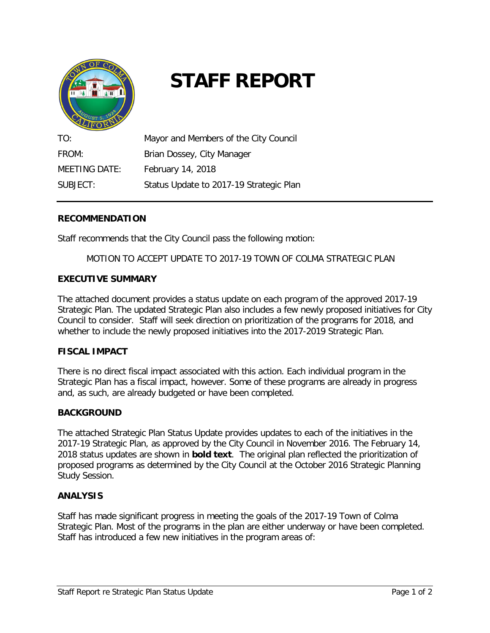

# **STAFF REPORT**

| TO:           | Mayor and Members of the City Council   |
|---------------|-----------------------------------------|
| FROM:         | Brian Dossey, City Manager              |
| MEETING DATE: | February 14, 2018                       |
| SUBJECT:      | Status Update to 2017-19 Strategic Plan |

#### **RECOMMENDATION**

Staff recommends that the City Council pass the following motion:

MOTION TO ACCEPT UPDATE TO 2017-19 TOWN OF COLMA STRATEGIC PLAN

# **EXECUTIVE SUMMARY**

The attached document provides a status update on each program of the approved 2017-19 Strategic Plan. The updated Strategic Plan also includes a few newly proposed initiatives for City Council to consider. Staff will seek direction on prioritization of the programs for 2018, and whether to include the newly proposed initiatives into the 2017-2019 Strategic Plan.

#### **FISCAL IMPACT**

There is no direct fiscal impact associated with this action. Each individual program in the Strategic Plan has a fiscal impact, however. Some of these programs are already in progress and, as such, are already budgeted or have been completed.

#### **BACKGROUND**

The attached Strategic Plan Status Update provides updates to each of the initiatives in the 2017-19 Strategic Plan, as approved by the City Council in November 2016. The February 14, 2018 status updates are shown in **bold text**. The original plan reflected the prioritization of proposed programs as determined by the City Council at the October 2016 Strategic Planning Study Session.

#### **ANALYSIS**

Staff has made significant progress in meeting the goals of the 2017-19 Town of Colma Strategic Plan. Most of the programs in the plan are either underway or have been completed. Staff has introduced a few new initiatives in the program areas of: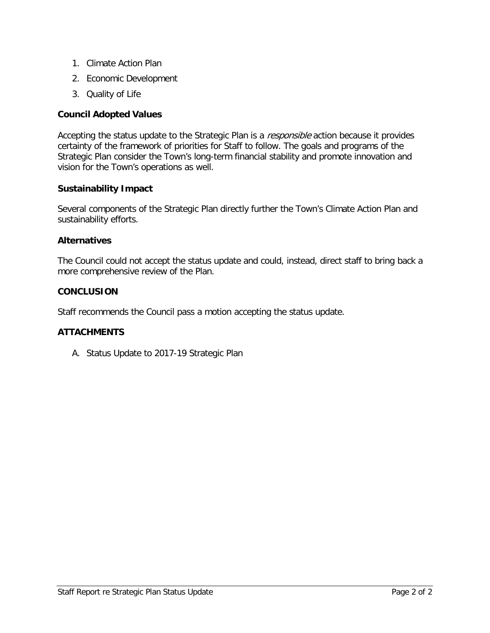- 1. Climate Action Plan
- 2. Economic Development
- 3. Quality of Life

# **Council Adopted Values**

Accepting the status update to the Strategic Plan is a responsible action because it provides certainty of the framework of priorities for Staff to follow. The goals and programs of the Strategic Plan consider the Town's long-term financial stability and promote innovation and vision for the Town's operations as well.

#### **Sustainability Impact**

Several components of the Strategic Plan directly further the Town's Climate Action Plan and sustainability efforts.

#### **Alternatives**

The Council could not accept the status update and could, instead, direct staff to bring back a more comprehensive review of the Plan.

#### **CONCLUSION**

Staff recommends the Council pass a motion accepting the status update.

#### **ATTACHMENTS**

A. Status Update to 2017-19 Strategic Plan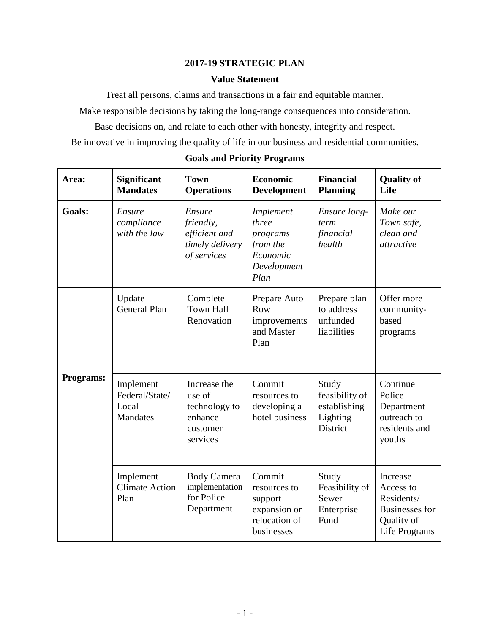# **2017-19 STRATEGIC PLAN**

#### **Value Statement**

Treat all persons, claims and transactions in a fair and equitable manner.

Make responsible decisions by taking the long-range consequences into consideration.

Base decisions on, and relate to each other with honesty, integrity and respect.

Be innovative in improving the quality of life in our business and residential communities.

| Area:            | Significant<br><b>Mandates</b>                   | <b>Town</b><br><b>Operations</b>                                           | <b>Economic</b><br><b>Development</b>                                            | <b>Financial</b><br><b>Planning</b>                             | <b>Quality of</b><br>Life                                                                   |
|------------------|--------------------------------------------------|----------------------------------------------------------------------------|----------------------------------------------------------------------------------|-----------------------------------------------------------------|---------------------------------------------------------------------------------------------|
| <b>Goals:</b>    | Ensure<br>compliance<br>with the law             | Ensure<br>friendly,<br>efficient and<br>timely delivery<br>of services     | Implement<br>three<br>programs<br>from the<br>Economic<br>Development<br>Plan    | Ensure long-<br>term<br>financial<br>health                     | Make our<br>Town safe,<br>clean and<br>attractive                                           |
|                  | Update<br><b>General Plan</b>                    | Complete<br><b>Town Hall</b><br>Renovation                                 | Prepare Auto<br>Row<br>improvements<br>and Master<br>Plan                        | Prepare plan<br>to address<br>unfunded<br>liabilities           | Offer more<br>community-<br>based<br>programs                                               |
| <b>Programs:</b> | Implement<br>Federal/State/<br>Local<br>Mandates | Increase the<br>use of<br>technology to<br>enhance<br>customer<br>services | Commit<br>resources to<br>developing a<br>hotel business                         | Study<br>feasibility of<br>establishing<br>Lighting<br>District | Continue<br>Police<br>Department<br>outreach to<br>residents and<br>youths                  |
|                  | Implement<br><b>Climate Action</b><br>Plan       | <b>Body Camera</b><br>implementation<br>for Police<br>Department           | Commit<br>resources to<br>support<br>expansion or<br>relocation of<br>businesses | Study<br>Feasibility of<br>Sewer<br>Enterprise<br>Fund          | Increase<br>Access to<br>Residents/<br><b>Businesses</b> for<br>Quality of<br>Life Programs |

# **Goals and Priority Programs**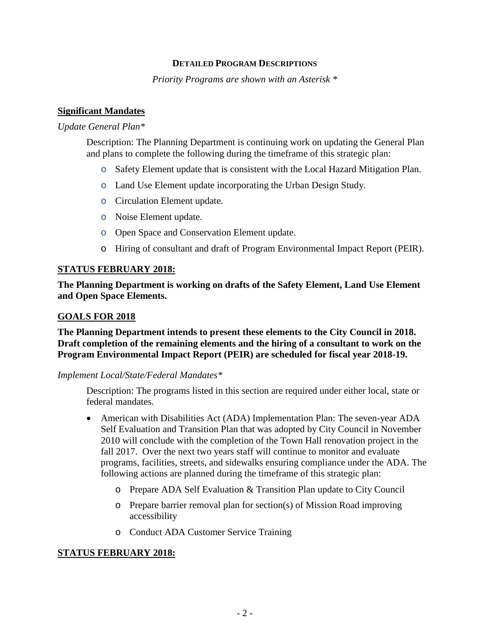#### **DETAILED PROGRAM DESCRIPTIONS**

*Priority Programs are shown with an Asterisk \**

#### **Significant Mandates**

#### *Update General Plan\**

Description: The Planning Department is continuing work on updating the General Plan and plans to complete the following during the timeframe of this strategic plan:

- o Safety Element update that is consistent with the Local Hazard Mitigation Plan.
- o Land Use Element update incorporating the Urban Design Study.
- o Circulation Element update.
- o Noise Element update.
- o Open Space and Conservation Element update.
- o Hiring of consultant and draft of Program Environmental Impact Report (PEIR).

#### **STATUS FEBRUARY 2018:**

**The Planning Department is working on drafts of the Safety Element, Land Use Element and Open Space Elements.** 

#### **GOALS FOR 2018**

**The Planning Department intends to present these elements to the City Council in 2018. Draft completion of the remaining elements and the hiring of a consultant to work on the Program Environmental Impact Report (PEIR) are scheduled for fiscal year 2018-19.**

#### *Implement Local/State/Federal Mandates\**

Description: The programs listed in this section are required under either local, state or federal mandates.

- American with Disabilities Act (ADA) Implementation Plan: The seven-year ADA Self Evaluation and Transition Plan that was adopted by City Council in November 2010 will conclude with the completion of the Town Hall renovation project in the fall 2017. Over the next two years staff will continue to monitor and evaluate programs, facilities, streets, and sidewalks ensuring compliance under the ADA. The following actions are planned during the timeframe of this strategic plan:
	- o Prepare ADA Self Evaluation & Transition Plan update to City Council
	- o Prepare barrier removal plan for section(s) of Mission Road improving accessibility
	- o Conduct ADA Customer Service Training

# **STATUS FEBRUARY 2018:**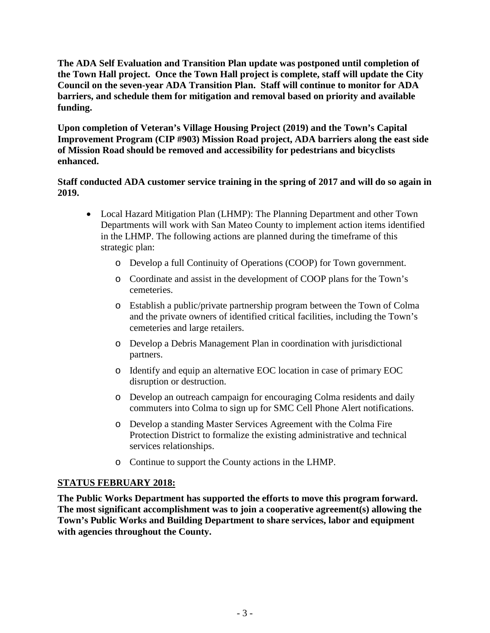**The ADA Self Evaluation and Transition Plan update was postponed until completion of the Town Hall project. Once the Town Hall project is complete, staff will update the City Council on the seven-year ADA Transition Plan. Staff will continue to monitor for ADA barriers, and schedule them for mitigation and removal based on priority and available funding.**

**Upon completion of Veteran's Village Housing Project (2019) and the Town's Capital Improvement Program (CIP #903) Mission Road project, ADA barriers along the east side of Mission Road should be removed and accessibility for pedestrians and bicyclists enhanced.**

# **Staff conducted ADA customer service training in the spring of 2017 and will do so again in 2019.**

- Local Hazard Mitigation Plan (LHMP): The Planning Department and other Town Departments will work with San Mateo County to implement action items identified in the LHMP. The following actions are planned during the timeframe of this strategic plan:
	- o Develop a full Continuity of Operations (COOP) for Town government.
	- o Coordinate and assist in the development of COOP plans for the Town's cemeteries.
	- o Establish a public/private partnership program between the Town of Colma and the private owners of identified critical facilities, including the Town's cemeteries and large retailers.
	- o Develop a Debris Management Plan in coordination with jurisdictional partners.
	- o Identify and equip an alternative EOC location in case of primary EOC disruption or destruction.
	- o Develop an outreach campaign for encouraging Colma residents and daily commuters into Colma to sign up for SMC Cell Phone Alert notifications.
	- o Develop a standing Master Services Agreement with the Colma Fire Protection District to formalize the existing administrative and technical services relationships.
	- o Continue to support the County actions in the LHMP.

# **STATUS FEBRUARY 2018:**

**The Public Works Department has supported the efforts to move this program forward. The most significant accomplishment was to join a cooperative agreement(s) allowing the Town's Public Works and Building Department to share services, labor and equipment with agencies throughout the County.**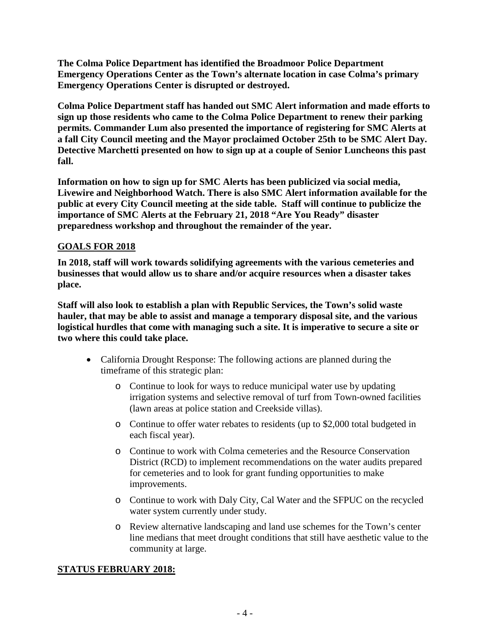**The Colma Police Department has identified the Broadmoor Police Department Emergency Operations Center as the Town's alternate location in case Colma's primary Emergency Operations Center is disrupted or destroyed.**

**Colma Police Department staff has handed out SMC Alert information and made efforts to sign up those residents who came to the Colma Police Department to renew their parking permits. Commander Lum also presented the importance of registering for SMC Alerts at a fall City Council meeting and the Mayor proclaimed October 25th to be SMC Alert Day. Detective Marchetti presented on how to sign up at a couple of Senior Luncheons this past fall.**

**Information on how to sign up for SMC Alerts has been publicized via social media, Livewire and Neighborhood Watch. There is also SMC Alert information available for the public at every City Council meeting at the side table. Staff will continue to publicize the importance of SMC Alerts at the February 21, 2018 "Are You Ready" disaster preparedness workshop and throughout the remainder of the year.** 

# **GOALS FOR 2018**

**In 2018, staff will work towards solidifying agreements with the various cemeteries and businesses that would allow us to share and/or acquire resources when a disaster takes place.** 

**Staff will also look to establish a plan with Republic Services, the Town's solid waste hauler, that may be able to assist and manage a temporary disposal site, and the various logistical hurdles that come with managing such a site. It is imperative to secure a site or two where this could take place.** 

- California Drought Response: The following actions are planned during the timeframe of this strategic plan:
	- o Continue to look for ways to reduce municipal water use by updating irrigation systems and selective removal of turf from Town-owned facilities (lawn areas at police station and Creekside villas).
	- o Continue to offer water rebates to residents (up to \$2,000 total budgeted in each fiscal year).
	- o Continue to work with Colma cemeteries and the Resource Conservation District (RCD) to implement recommendations on the water audits prepared for cemeteries and to look for grant funding opportunities to make improvements.
	- o Continue to work with Daly City, Cal Water and the SFPUC on the recycled water system currently under study.
	- o Review alternative landscaping and land use schemes for the Town's center line medians that meet drought conditions that still have aesthetic value to the community at large.

#### **STATUS FEBRUARY 2018:**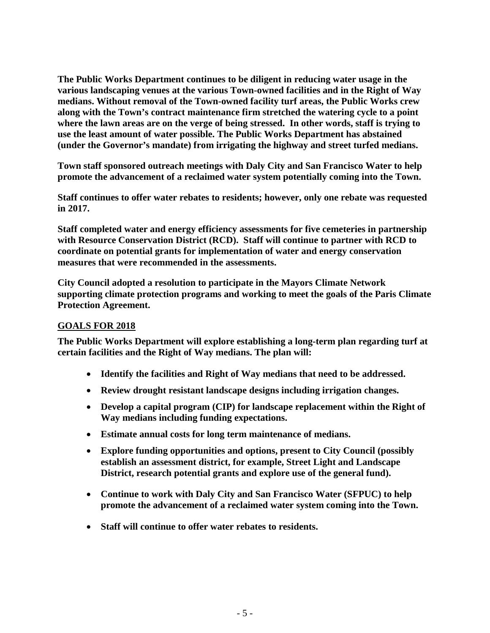**The Public Works Department continues to be diligent in reducing water usage in the various landscaping venues at the various Town-owned facilities and in the Right of Way medians. Without removal of the Town-owned facility turf areas, the Public Works crew along with the Town's contract maintenance firm stretched the watering cycle to a point where the lawn areas are on the verge of being stressed. In other words, staff is trying to use the least amount of water possible. The Public Works Department has abstained (under the Governor's mandate) from irrigating the highway and street turfed medians.** 

**Town staff sponsored outreach meetings with Daly City and San Francisco Water to help promote the advancement of a reclaimed water system potentially coming into the Town.** 

**Staff continues to offer water rebates to residents; however, only one rebate was requested in 2017.**

**Staff completed water and energy efficiency assessments for five cemeteries in partnership with Resource Conservation District (RCD). Staff will continue to partner with RCD to coordinate on potential grants for implementation of water and energy conservation measures that were recommended in the assessments.** 

**City Council adopted a resolution to participate in the Mayors Climate Network supporting climate protection programs and working to meet the goals of the Paris Climate Protection Agreement.** 

# **GOALS FOR 2018**

**The Public Works Department will explore establishing a long-term plan regarding turf at certain facilities and the Right of Way medians. The plan will:** 

- **Identify the facilities and Right of Way medians that need to be addressed.**
- **Review drought resistant landscape designs including irrigation changes.**
- **Develop a capital program (CIP) for landscape replacement within the Right of Way medians including funding expectations.**
- **Estimate annual costs for long term maintenance of medians.**
- **Explore funding opportunities and options, present to City Council (possibly establish an assessment district, for example, Street Light and Landscape District, research potential grants and explore use of the general fund).**
- **Continue to work with Daly City and San Francisco Water (SFPUC) to help promote the advancement of a reclaimed water system coming into the Town.**
- **Staff will continue to offer water rebates to residents.**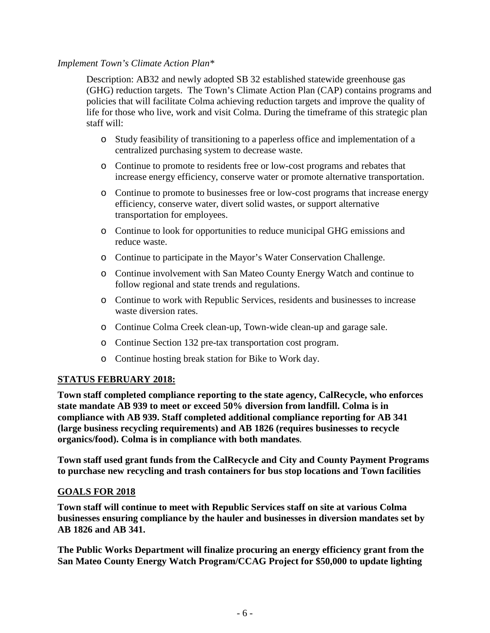# *Implement Town's Climate Action Plan\**

Description: AB32 and newly adopted SB 32 established statewide greenhouse gas (GHG) reduction targets. The Town's Climate Action Plan (CAP) contains programs and policies that will facilitate Colma achieving reduction targets and improve the quality of life for those who live, work and visit Colma. During the timeframe of this strategic plan staff will:

- o Study feasibility of transitioning to a paperless office and implementation of a centralized purchasing system to decrease waste.
- o Continue to promote to residents free or low-cost programs and rebates that increase energy efficiency, conserve water or promote alternative transportation.
- o Continue to promote to businesses free or low-cost programs that increase energy efficiency, conserve water, divert solid wastes, or support alternative transportation for employees.
- o Continue to look for opportunities to reduce municipal GHG emissions and reduce waste.
- o Continue to participate in the Mayor's Water Conservation Challenge.
- o Continue involvement with San Mateo County Energy Watch and continue to follow regional and state trends and regulations.
- o Continue to work with Republic Services, residents and businesses to increase waste diversion rates.
- o Continue Colma Creek clean-up, Town-wide clean-up and garage sale.
- o Continue Section 132 pre-tax transportation cost program.
- o Continue hosting break station for Bike to Work day.

# **STATUS FEBRUARY 2018:**

**Town staff completed compliance reporting to the state agency, CalRecycle, who enforces state mandate AB 939 to meet or exceed 50% diversion from landfill. Colma is in compliance with AB 939. Staff completed additional compliance reporting for AB 341 (large business recycling requirements) and AB 1826 (requires businesses to recycle organics/food). Colma is in compliance with both mandates***.* 

**Town staff used grant funds from the CalRecycle and City and County Payment Programs to purchase new recycling and trash containers for bus stop locations and Town facilities**

# **GOALS FOR 2018**

**Town staff will continue to meet with Republic Services staff on site at various Colma businesses ensuring compliance by the hauler and businesses in diversion mandates set by AB 1826 and AB 341.** 

**The Public Works Department will finalize procuring an energy efficiency grant from the San Mateo County Energy Watch Program/CCAG Project for \$50,000 to update lighting**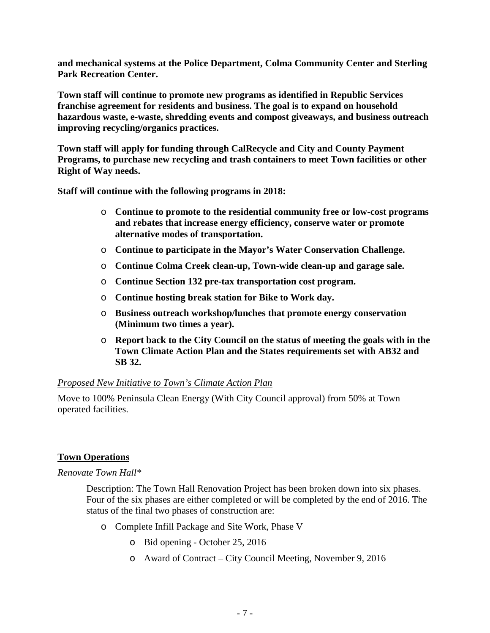**and mechanical systems at the Police Department, Colma Community Center and Sterling Park Recreation Center.** 

**Town staff will continue to promote new programs as identified in Republic Services franchise agreement for residents and business. The goal is to expand on household hazardous waste, e-waste, shredding events and compost giveaways, and business outreach improving recycling/organics practices.** 

**Town staff will apply for funding through CalRecycle and City and County Payment Programs, to purchase new recycling and trash containers to meet Town facilities or other Right of Way needs.**

**Staff will continue with the following programs in 2018:** 

- o **Continue to promote to the residential community free or low-cost programs and rebates that increase energy efficiency, conserve water or promote alternative modes of transportation.**
- o **Continue to participate in the Mayor's Water Conservation Challenge.**
- o **Continue Colma Creek clean-up, Town-wide clean-up and garage sale.**
- o **Continue Section 132 pre-tax transportation cost program.**
- o **Continue hosting break station for Bike to Work day.**
- o **Business outreach workshop/lunches that promote energy conservation (Minimum two times a year).**
- o **Report back to the City Council on the status of meeting the goals with in the Town Climate Action Plan and the States requirements set with AB32 and SB 32.**

#### *Proposed New Initiative to Town's Climate Action Plan*

Move to 100% Peninsula Clean Energy (With City Council approval) from 50% at Town operated facilities.

# **Town Operations**

*Renovate Town Hall\**

Description: The Town Hall Renovation Project has been broken down into six phases. Four of the six phases are either completed or will be completed by the end of 2016. The status of the final two phases of construction are:

- o Complete Infill Package and Site Work, Phase V
	- o Bid opening October 25, 2016
	- o Award of Contract City Council Meeting, November 9, 2016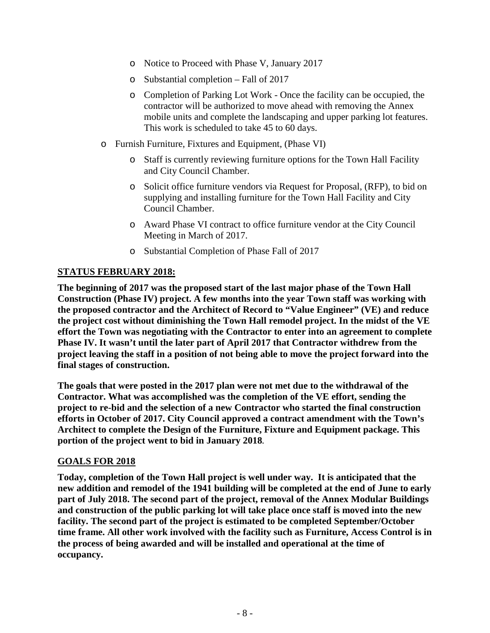- o Notice to Proceed with Phase V, January 2017
- o Substantial completion Fall of 2017
- o Completion of Parking Lot Work Once the facility can be occupied, the contractor will be authorized to move ahead with removing the Annex mobile units and complete the landscaping and upper parking lot features. This work is scheduled to take 45 to 60 days.
- o Furnish Furniture, Fixtures and Equipment, (Phase VI)
	- o Staff is currently reviewing furniture options for the Town Hall Facility and City Council Chamber.
	- o Solicit office furniture vendors via Request for Proposal, (RFP), to bid on supplying and installing furniture for the Town Hall Facility and City Council Chamber.
	- o Award Phase VI contract to office furniture vendor at the City Council Meeting in March of 2017.
	- o Substantial Completion of Phase Fall of 2017

# **STATUS FEBRUARY 2018:**

**The beginning of 2017 was the proposed start of the last major phase of the Town Hall Construction (Phase IV) project. A few months into the year Town staff was working with the proposed contractor and the Architect of Record to "Value Engineer" (VE) and reduce the project cost without diminishing the Town Hall remodel project. In the midst of the VE effort the Town was negotiating with the Contractor to enter into an agreement to complete Phase IV. It wasn't until the later part of April 2017 that Contractor withdrew from the project leaving the staff in a position of not being able to move the project forward into the final stages of construction.** 

**The goals that were posted in the 2017 plan were not met due to the withdrawal of the Contractor. What was accomplished was the completion of the VE effort, sending the project to re-bid and the selection of a new Contractor who started the final construction efforts in October of 2017. City Council approved a contract amendment with the Town's Architect to complete the Design of the Furniture, Fixture and Equipment package. This portion of the project went to bid in January 2018***.*

#### **GOALS FOR 2018**

**Today, completion of the Town Hall project is well under way. It is anticipated that the new addition and remodel of the 1941 building will be completed at the end of June to early part of July 2018. The second part of the project, removal of the Annex Modular Buildings and construction of the public parking lot will take place once staff is moved into the new facility. The second part of the project is estimated to be completed September/October time frame. All other work involved with the facility such as Furniture, Access Control is in the process of being awarded and will be installed and operational at the time of occupancy.**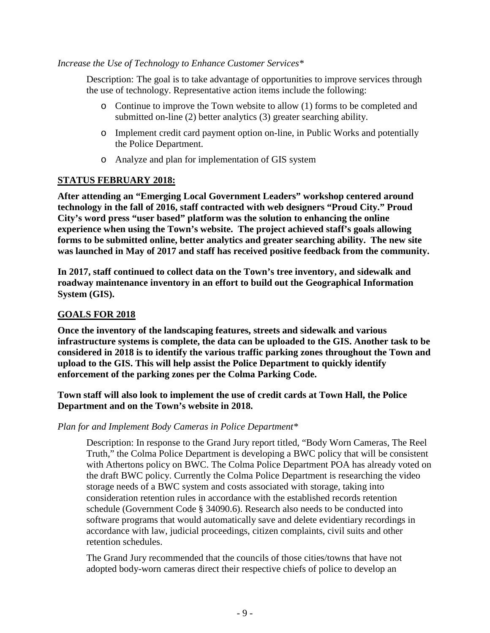#### *Increase the Use of Technology to Enhance Customer Services\**

Description: The goal is to take advantage of opportunities to improve services through the use of technology. Representative action items include the following:

- o Continue to improve the Town website to allow (1) forms to be completed and submitted on-line (2) better analytics (3) greater searching ability.
- o Implement credit card payment option on-line, in Public Works and potentially the Police Department.
- o Analyze and plan for implementation of GIS system

# **STATUS FEBRUARY 2018:**

**After attending an "Emerging Local Government Leaders" workshop centered around technology in the fall of 2016, staff contracted with web designers "Proud City." Proud City's word press "user based" platform was the solution to enhancing the online experience when using the Town's website. The project achieved staff's goals allowing forms to be submitted online, better analytics and greater searching ability. The new site was launched in May of 2017 and staff has received positive feedback from the community.**

**In 2017, staff continued to collect data on the Town's tree inventory, and sidewalk and roadway maintenance inventory in an effort to build out the Geographical Information System (GIS).** 

#### **GOALS FOR 2018**

**Once the inventory of the landscaping features, streets and sidewalk and various infrastructure systems is complete, the data can be uploaded to the GIS. Another task to be considered in 2018 is to identify the various traffic parking zones throughout the Town and upload to the GIS. This will help assist the Police Department to quickly identify enforcement of the parking zones per the Colma Parking Code.** 

**Town staff will also look to implement the use of credit cards at Town Hall, the Police Department and on the Town's website in 2018.**

*Plan for and Implement Body Cameras in Police Department\**

Description: In response to the Grand Jury report titled, "Body Worn Cameras, The Reel Truth," the Colma Police Department is developing a BWC policy that will be consistent with Athertons policy on BWC. The Colma Police Department POA has already voted on the draft BWC policy. Currently the Colma Police Department is researching the video storage needs of a BWC system and costs associated with storage, taking into consideration retention rules in accordance with the established records retention schedule (Government Code § 34090.6). Research also needs to be conducted into software programs that would automatically save and delete evidentiary recordings in accordance with law, judicial proceedings, citizen complaints, civil suits and other retention schedules.

The Grand Jury recommended that the councils of those cities/towns that have not adopted body-worn cameras direct their respective chiefs of police to develop an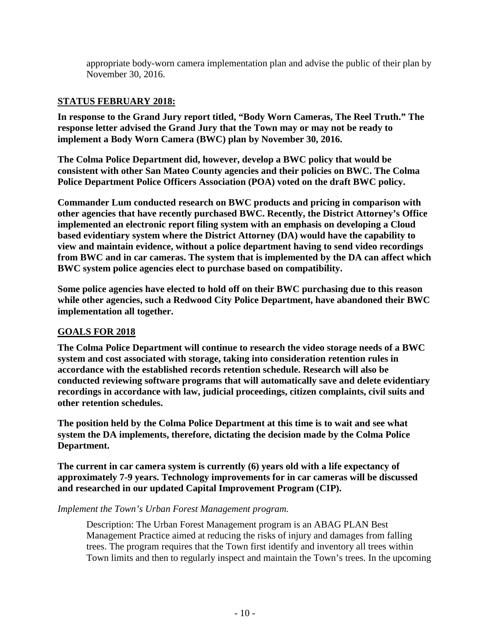appropriate body-worn camera implementation plan and advise the public of their plan by November 30, 2016.

# **STATUS FEBRUARY 2018:**

**In response to the Grand Jury report titled, "Body Worn Cameras, The Reel Truth." The response letter advised the Grand Jury that the Town may or may not be ready to implement a Body Worn Camera (BWC) plan by November 30, 2016.**

**The Colma Police Department did, however, develop a BWC policy that would be consistent with other San Mateo County agencies and their policies on BWC. The Colma Police Department Police Officers Association (POA) voted on the draft BWC policy.** 

**Commander Lum conducted research on BWC products and pricing in comparison with other agencies that have recently purchased BWC. Recently, the District Attorney's Office implemented an electronic report filing system with an emphasis on developing a Cloud based evidentiary system where the District Attorney (DA) would have the capability to view and maintain evidence, without a police department having to send video recordings from BWC and in car cameras. The system that is implemented by the DA can affect which BWC system police agencies elect to purchase based on compatibility.**

**Some police agencies have elected to hold off on their BWC purchasing due to this reason while other agencies, such a Redwood City Police Department, have abandoned their BWC implementation all together.** 

#### **GOALS FOR 2018**

**The Colma Police Department will continue to research the video storage needs of a BWC system and cost associated with storage, taking into consideration retention rules in accordance with the established records retention schedule. Research will also be conducted reviewing software programs that will automatically save and delete evidentiary recordings in accordance with law, judicial proceedings, citizen complaints, civil suits and other retention schedules.** 

**The position held by the Colma Police Department at this time is to wait and see what system the DA implements, therefore, dictating the decision made by the Colma Police Department.**

**The current in car camera system is currently (6) years old with a life expectancy of approximately 7-9 years. Technology improvements for in car cameras will be discussed and researched in our updated Capital Improvement Program (CIP).**

#### *Implement the Town's Urban Forest Management program.*

Description: The Urban Forest Management program is an ABAG PLAN Best Management Practice aimed at reducing the risks of injury and damages from falling trees. The program requires that the Town first identify and inventory all trees within Town limits and then to regularly inspect and maintain the Town's trees. In the upcoming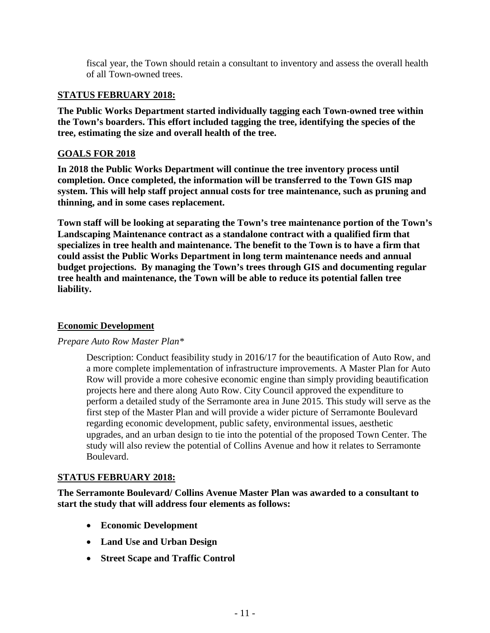fiscal year, the Town should retain a consultant to inventory and assess the overall health of all Town-owned trees.

#### **STATUS FEBRUARY 2018:**

**The Public Works Department started individually tagging each Town-owned tree within the Town's boarders. This effort included tagging the tree, identifying the species of the tree, estimating the size and overall health of the tree.** 

# **GOALS FOR 2018**

**In 2018 the Public Works Department will continue the tree inventory process until completion. Once completed, the information will be transferred to the Town GIS map system. This will help staff project annual costs for tree maintenance, such as pruning and thinning, and in some cases replacement.** 

**Town staff will be looking at separating the Town's tree maintenance portion of the Town's Landscaping Maintenance contract as a standalone contract with a qualified firm that specializes in tree health and maintenance. The benefit to the Town is to have a firm that could assist the Public Works Department in long term maintenance needs and annual budget projections. By managing the Town's trees through GIS and documenting regular tree health and maintenance, the Town will be able to reduce its potential fallen tree liability.**

# **Economic Development**

#### *Prepare Auto Row Master Plan\**

Description: Conduct feasibility study in 2016/17 for the beautification of Auto Row, and a more complete implementation of infrastructure improvements. A Master Plan for Auto Row will provide a more cohesive economic engine than simply providing beautification projects here and there along Auto Row. City Council approved the expenditure to perform a detailed study of the Serramonte area in June 2015. This study will serve as the first step of the Master Plan and will provide a wider picture of Serramonte Boulevard regarding economic development, public safety, environmental issues, aesthetic upgrades, and an urban design to tie into the potential of the proposed Town Center. The study will also review the potential of Collins Avenue and how it relates to Serramonte Boulevard.

#### **STATUS FEBRUARY 2018:**

**The Serramonte Boulevard/ Collins Avenue Master Plan was awarded to a consultant to start the study that will address four elements as follows:** 

- **Economic Development**
- **Land Use and Urban Design**
- **Street Scape and Traffic Control**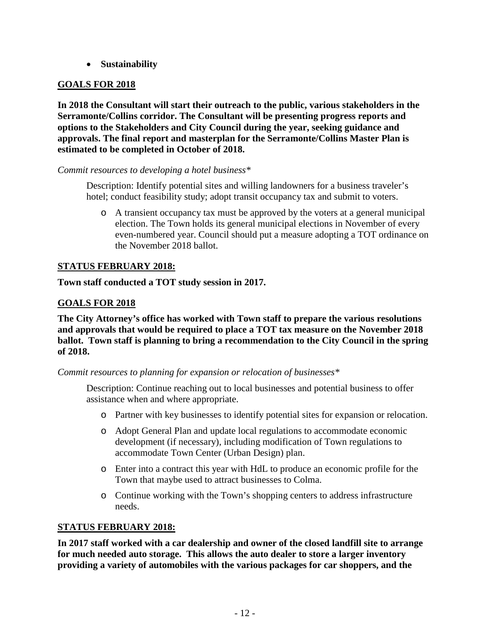• **Sustainability**

# **GOALS FOR 2018**

**In 2018 the Consultant will start their outreach to the public, various stakeholders in the Serramonte/Collins corridor. The Consultant will be presenting progress reports and options to the Stakeholders and City Council during the year, seeking guidance and approvals. The final report and masterplan for the Serramonte/Collins Master Plan is estimated to be completed in October of 2018.** 

# *Commit resources to developing a hotel business\**

Description: Identify potential sites and willing landowners for a business traveler's hotel; conduct feasibility study; adopt transit occupancy tax and submit to voters.

o A transient occupancy tax must be approved by the voters at a general municipal election. The Town holds its general municipal elections in November of every even-numbered year. Council should put a measure adopting a TOT ordinance on the November 2018 ballot.

# **STATUS FEBRUARY 2018:**

**Town staff conducted a TOT study session in 2017.** 

# **GOALS FOR 2018**

**The City Attorney's office has worked with Town staff to prepare the various resolutions and approvals that would be required to place a TOT tax measure on the November 2018 ballot. Town staff is planning to bring a recommendation to the City Council in the spring of 2018.**

*Commit resources to planning for expansion or relocation of businesses\**

Description: Continue reaching out to local businesses and potential business to offer assistance when and where appropriate.

- o Partner with key businesses to identify potential sites for expansion or relocation.
- o Adopt General Plan and update local regulations to accommodate economic development (if necessary), including modification of Town regulations to accommodate Town Center (Urban Design) plan.
- o Enter into a contract this year with HdL to produce an economic profile for the Town that maybe used to attract businesses to Colma.
- o Continue working with the Town's shopping centers to address infrastructure needs.

# **STATUS FEBRUARY 2018:**

**In 2017 staff worked with a car dealership and owner of the closed landfill site to arrange for much needed auto storage. This allows the auto dealer to store a larger inventory providing a variety of automobiles with the various packages for car shoppers, and the**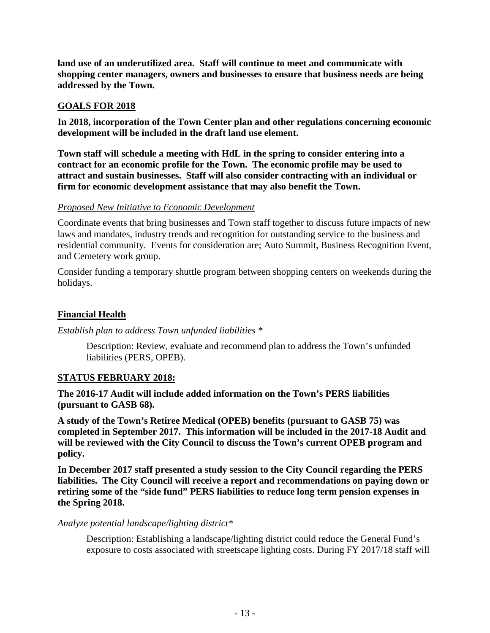**land use of an underutilized area. Staff will continue to meet and communicate with shopping center managers, owners and businesses to ensure that business needs are being addressed by the Town.** 

# **GOALS FOR 2018**

**In 2018, incorporation of the Town Center plan and other regulations concerning economic development will be included in the draft land use element.** 

**Town staff will schedule a meeting with HdL in the spring to consider entering into a contract for an economic profile for the Town. The economic profile may be used to attract and sustain businesses. Staff will also consider contracting with an individual or firm for economic development assistance that may also benefit the Town.**

#### *Proposed New Initiative to Economic Development*

Coordinate events that bring businesses and Town staff together to discuss future impacts of new laws and mandates, industry trends and recognition for outstanding service to the business and residential community. Events for consideration are; Auto Summit, Business Recognition Event, and Cemetery work group.

Consider funding a temporary shuttle program between shopping centers on weekends during the holidays.

# **Financial Health**

*Establish plan to address Town unfunded liabilities \**

Description: Review, evaluate and recommend plan to address the Town's unfunded liabilities (PERS, OPEB).

#### **STATUS FEBRUARY 2018:**

**The 2016-17 Audit will include added information on the Town's PERS liabilities (pursuant to GASB 68).** 

**A study of the Town's Retiree Medical (OPEB) benefits (pursuant to GASB 75) was completed in September 2017. This information will be included in the 2017-18 Audit and will be reviewed with the City Council to discuss the Town's current OPEB program and policy.**

**In December 2017 staff presented a study session to the City Council regarding the PERS liabilities. The City Council will receive a report and recommendations on paying down or retiring some of the "side fund" PERS liabilities to reduce long term pension expenses in the Spring 2018.**

#### *Analyze potential landscape/lighting district\**

Description: Establishing a landscape/lighting district could reduce the General Fund's exposure to costs associated with streetscape lighting costs. During FY 2017/18 staff will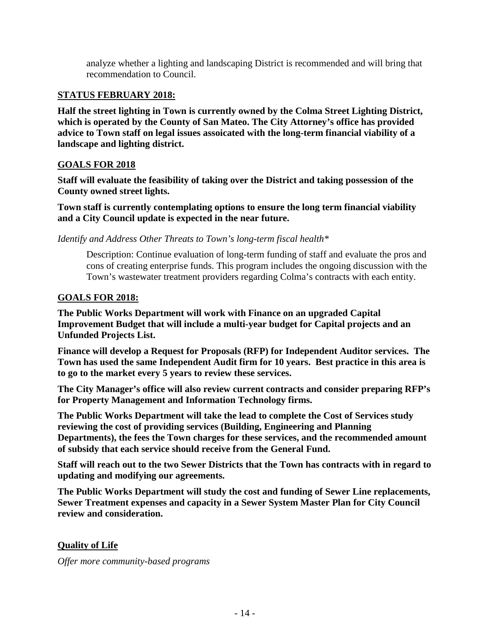analyze whether a lighting and landscaping District is recommended and will bring that recommendation to Council.

# **STATUS FEBRUARY 2018:**

**Half the street lighting in Town is currently owned by the Colma Street Lighting District, which is operated by the County of San Mateo. The City Attorney's office has provided advice to Town staff on legal issues assoicated with the long-term financial viability of a landscape and lighting district.** 

# **GOALS FOR 2018**

**Staff will evaluate the feasibility of taking over the District and taking possession of the County owned street lights.** 

**Town staff is currently contemplating options to ensure the long term financial viability and a City Council update is expected in the near future.**

*Identify and Address Other Threats to Town's long-term fiscal health\**

Description: Continue evaluation of long-term funding of staff and evaluate the pros and cons of creating enterprise funds. This program includes the ongoing discussion with the Town's wastewater treatment providers regarding Colma's contracts with each entity.

# **GOALS FOR 2018:**

**The Public Works Department will work with Finance on an upgraded Capital Improvement Budget that will include a multi-year budget for Capital projects and an Unfunded Projects List.**

**Finance will develop a Request for Proposals (RFP) for Independent Auditor services. The Town has used the same Independent Audit firm for 10 years. Best practice in this area is to go to the market every 5 years to review these services.**

**The City Manager's office will also review current contracts and consider preparing RFP's for Property Management and Information Technology firms.**

**The Public Works Department will take the lead to complete the Cost of Services study reviewing the cost of providing services (Building, Engineering and Planning Departments), the fees the Town charges for these services, and the recommended amount of subsidy that each service should receive from the General Fund.** 

**Staff will reach out to the two Sewer Districts that the Town has contracts with in regard to updating and modifying our agreements.** 

**The Public Works Department will study the cost and funding of Sewer Line replacements, Sewer Treatment expenses and capacity in a Sewer System Master Plan for City Council review and consideration.**

# **Quality of Life**

*Offer more community-based programs*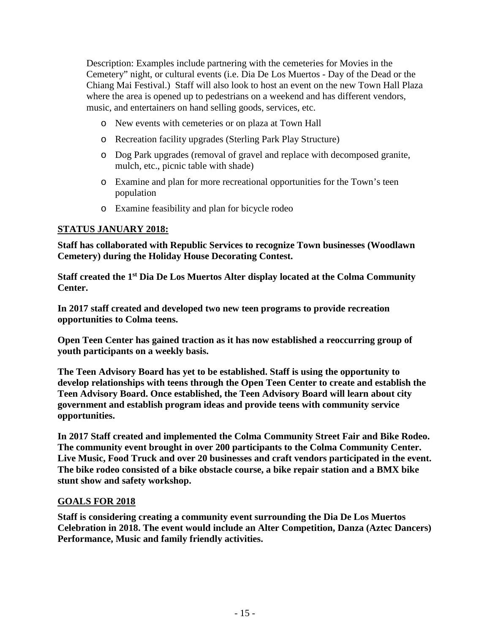Description: Examples include partnering with the cemeteries for Movies in the Cemetery" night, or cultural events (i.e. Dia De Los Muertos - Day of the Dead or the Chiang Mai Festival.) Staff will also look to host an event on the new Town Hall Plaza where the area is opened up to pedestrians on a weekend and has different vendors, music, and entertainers on hand selling goods, services, etc.

- o New events with cemeteries or on plaza at Town Hall
- o Recreation facility upgrades (Sterling Park Play Structure)
- o Dog Park upgrades (removal of gravel and replace with decomposed granite, mulch, etc., picnic table with shade)
- o Examine and plan for more recreational opportunities for the Town's teen population
- o Examine feasibility and plan for bicycle rodeo

# **STATUS JANUARY 2018:**

**Staff has collaborated with Republic Services to recognize Town businesses (Woodlawn Cemetery) during the Holiday House Decorating Contest.**

**Staff created the 1st Dia De Los Muertos Alter display located at the Colma Community Center.**

**In 2017 staff created and developed two new teen programs to provide recreation opportunities to Colma teens.**

**Open Teen Center has gained traction as it has now established a reoccurring group of youth participants on a weekly basis.**

**The Teen Advisory Board has yet to be established. Staff is using the opportunity to develop relationships with teens through the Open Teen Center to create and establish the Teen Advisory Board. Once established, the Teen Advisory Board will learn about city government and establish program ideas and provide teens with community service opportunities.**

**In 2017 Staff created and implemented the Colma Community Street Fair and Bike Rodeo. The community event brought in over 200 participants to the Colma Community Center. Live Music, Food Truck and over 20 businesses and craft vendors participated in the event. The bike rodeo consisted of a bike obstacle course, a bike repair station and a BMX bike stunt show and safety workshop.**

#### **GOALS FOR 2018**

**Staff is considering creating a community event surrounding the Dia De Los Muertos Celebration in 2018. The event would include an Alter Competition, Danza (Aztec Dancers) Performance, Music and family friendly activities.**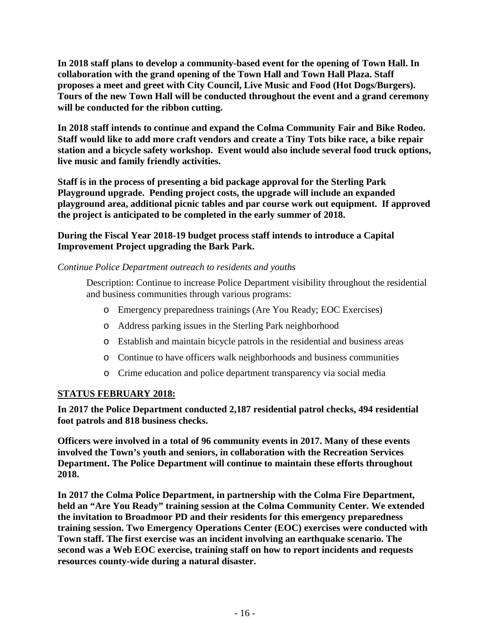**In 2018 staff plans to develop a community-based event for the opening of Town Hall. In collaboration with the grand opening of the Town Hall and Town Hall Plaza. Staff proposes a meet and greet with City Council, Live Music and Food (Hot Dogs/Burgers). Tours of the new Town Hall will be conducted throughout the event and a grand ceremony will be conducted for the ribbon cutting.**

**In 2018 staff intends to continue and expand the Colma Community Fair and Bike Rodeo. Staff would like to add more craft vendors and create a Tiny Tots bike race, a bike repair station and a bicycle safety workshop. Event would also include several food truck options, live music and family friendly activities.**

**Staff is in the process of presenting a bid package approval for the Sterling Park Playground upgrade. Pending project costs, the upgrade will include an expanded playground area, additional picnic tables and par course work out equipment. If approved the project is anticipated to be completed in the early summer of 2018.**

# **During the Fiscal Year 2018-19 budget process staff intends to introduce a Capital Improvement Project upgrading the Bark Park.**

# *Continue Police Department outreach to residents and youths*

Description: Continue to increase Police Department visibility throughout the residential and business communities through various programs:

- o Emergency preparedness trainings (Are You Ready; EOC Exercises)
- o Address parking issues in the Sterling Park neighborhood
- o Establish and maintain bicycle patrols in the residential and business areas
- o Continue to have officers walk neighborhoods and business communities
- o Crime education and police department transparency via social media

# **STATUS FEBRUARY 2018:**

**In 2017 the Police Department conducted 2,187 residential patrol checks, 494 residential foot patrols and 818 business checks.** 

**Officers were involved in a total of 96 community events in 2017. Many of these events involved the Town's youth and seniors, in collaboration with the Recreation Services Department. The Police Department will continue to maintain these efforts throughout 2018.**

**In 2017 the Colma Police Department, in partnership with the Colma Fire Department, held an "Are You Ready" training session at the Colma Community Center. We extended the invitation to Broadmoor PD and their residents for this emergency preparedness training session. Two Emergency Operations Center (EOC) exercises were conducted with Town staff. The first exercise was an incident involving an earthquake scenario. The second was a Web EOC exercise, training staff on how to report incidents and requests resources county-wide during a natural disaster.**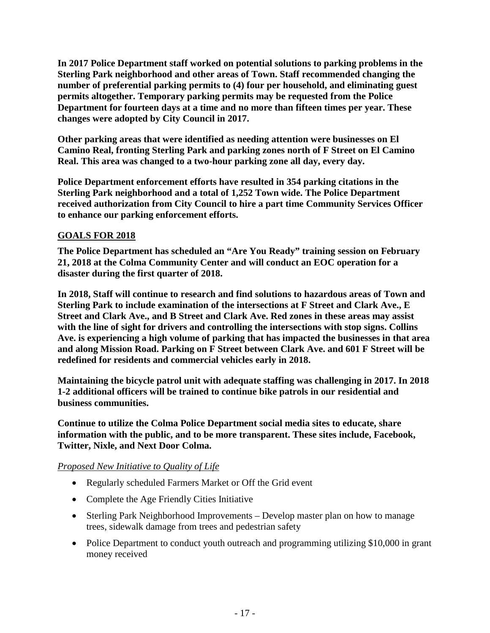**In 2017 Police Department staff worked on potential solutions to parking problems in the Sterling Park neighborhood and other areas of Town. Staff recommended changing the number of preferential parking permits to (4) four per household, and eliminating guest permits altogether. Temporary parking permits may be requested from the Police Department for fourteen days at a time and no more than fifteen times per year. These changes were adopted by City Council in 2017.**

**Other parking areas that were identified as needing attention were businesses on El Camino Real, fronting Sterling Park and parking zones north of F Street on El Camino Real. This area was changed to a two-hour parking zone all day, every day.** 

**Police Department enforcement efforts have resulted in 354 parking citations in the Sterling Park neighborhood and a total of 1,252 Town wide. The Police Department received authorization from City Council to hire a part time Community Services Officer to enhance our parking enforcement efforts.** 

# **GOALS FOR 2018**

**The Police Department has scheduled an "Are You Ready" training session on February 21, 2018 at the Colma Community Center and will conduct an EOC operation for a disaster during the first quarter of 2018.**

**In 2018, Staff will continue to research and find solutions to hazardous areas of Town and Sterling Park to include examination of the intersections at F Street and Clark Ave., E Street and Clark Ave., and B Street and Clark Ave. Red zones in these areas may assist with the line of sight for drivers and controlling the intersections with stop signs. Collins Ave. is experiencing a high volume of parking that has impacted the businesses in that area and along Mission Road. Parking on F Street between Clark Ave. and 601 F Street will be redefined for residents and commercial vehicles early in 2018.**

**Maintaining the bicycle patrol unit with adequate staffing was challenging in 2017. In 2018 1-2 additional officers will be trained to continue bike patrols in our residential and business communities.**

**Continue to utilize the Colma Police Department social media sites to educate, share information with the public, and to be more transparent. These sites include, Facebook, Twitter, Nixle, and Next Door Colma.** 

# *Proposed New Initiative to Quality of Life*

- Regularly scheduled Farmers Market or Off the Grid event
- Complete the Age Friendly Cities Initiative
- Sterling Park Neighborhood Improvements Develop master plan on how to manage trees, sidewalk damage from trees and pedestrian safety
- Police Department to conduct youth outreach and programming utilizing \$10,000 in grant money received